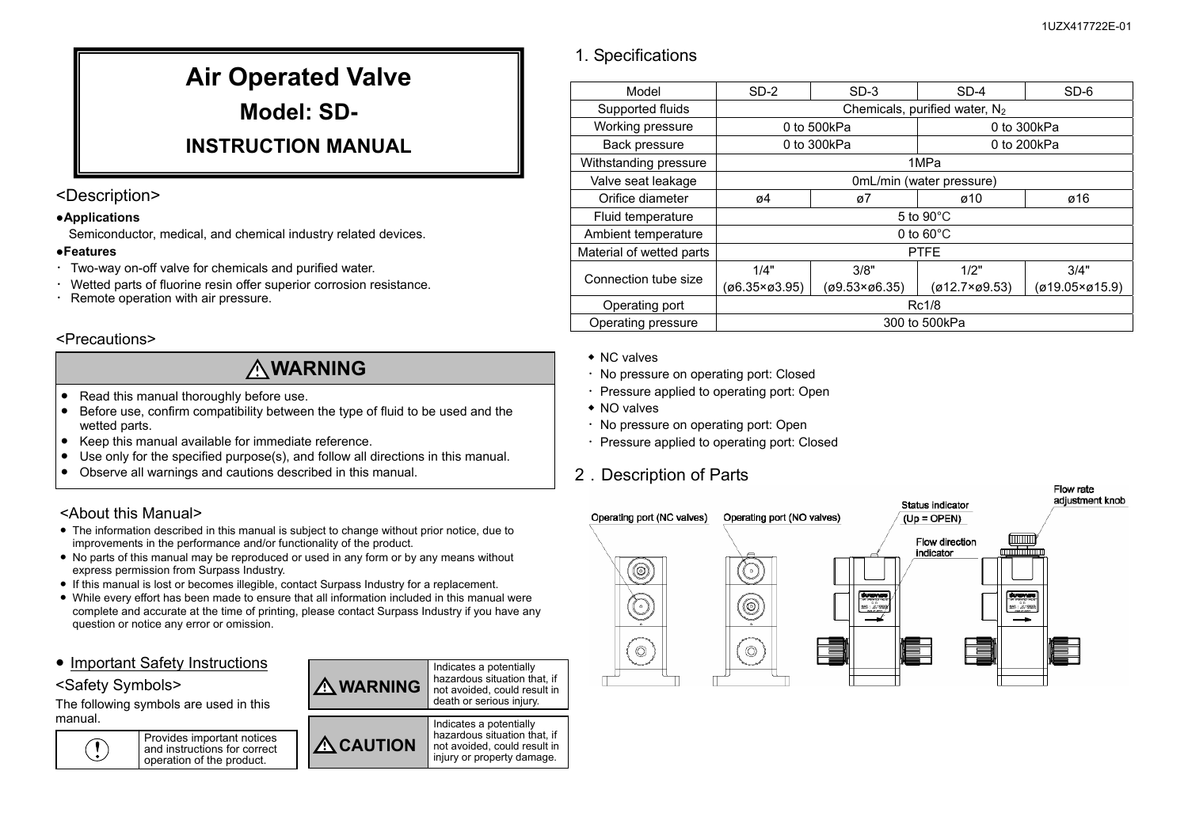## 1. Specifications

|            | Air Operated Valve |  |  |  |  |  |  |  |
|------------|--------------------|--|--|--|--|--|--|--|
| Model: SD- |                    |  |  |  |  |  |  |  |
|            |                    |  |  |  |  |  |  |  |

## **INSTRUCTION MANUAL**

### <Description>

#### **●Applications**

Semiconductor, medical, and chemical industry related devices.

#### **●Features**

- ・Two-way on-off valve for chemicals and purified water.
- ・ Wetted parts of fluorine resin offer superior corrosion resistance.
- ・Remote operation with air pressure.

### <Precautions>

# **WARNING**

- Read this manual thoroughly before use.
- $\bullet$  Before use, confirm compatibility between the type of fluid to be used and the wetted parts.
- Keep this manual available for immediate reference.
- ●Use only for the specified purpose(s), and follow all directions in this manual.
- $\bullet$ Observe all warnings and cautions described in this manual.

## <About this Manual>

- The information described in this manual is subject to change without prior notice, due to improvements in the performance and/or functionality of the product.
- No parts of this manual may be reproduced or used in any form or by any means without express permission from Surpass Industry.
- If this manual is lost or becomes illegible, contact Surpass Industry for a replacement.
- While every effort has been made to ensure that all information included in this manual were complete and accurate at the time of printing, please contact Surpass Industry if you have any question or notice any error or omission.
- Important Safety Instructions

### <Safety Symbols>

The following symbols are used in this manual.





| Model                    | $SD-2$                           | $SD-3$                 | $SD-4$        | SD-6           |  |  |  |
|--------------------------|----------------------------------|------------------------|---------------|----------------|--|--|--|
| Supported fluids         | Chemicals, purified water, $N_2$ |                        |               |                |  |  |  |
| Working pressure         | 0 to 500kPa                      |                        | 0 to 300kPa   |                |  |  |  |
| Back pressure            | 0 to 300kPa                      |                        | 0 to 200kPa   |                |  |  |  |
| Withstanding pressure    | 1MPa                             |                        |               |                |  |  |  |
| Valve seat leakage       | 0mL/min (water pressure)         |                        |               |                |  |  |  |
| Orifice diameter         | ø4                               | ø7                     | ø10           | ø16            |  |  |  |
| Fluid temperature        | 5 to $90^{\circ}$ C              |                        |               |                |  |  |  |
| Ambient temperature      | 0 to $60^{\circ}$ C              |                        |               |                |  |  |  |
| Material of wetted parts | <b>PTFE</b>                      |                        |               |                |  |  |  |
| Connection tube size     | 1/4"                             | 3/8"                   | 1/2"          | 3/4"           |  |  |  |
|                          | (ø6.35×ø3.95)                    | $(09.53 \times 06.35)$ | (ø12.7×ø9.53) | (ø19.05×ø15.9) |  |  |  |
| Operating port           | Rc1/8                            |                        |               |                |  |  |  |
| Operating pressure       | 300 to 500kPa                    |                        |               |                |  |  |  |

- ◆ NC valves
- ・No pressure on operating port: Closed
- ・Pressure applied to operating port: Open
- ◆ NO valves
- ・No pressure on operating port: Open
- ・Pressure applied to operating port: Closed

## 2.Description of Parts